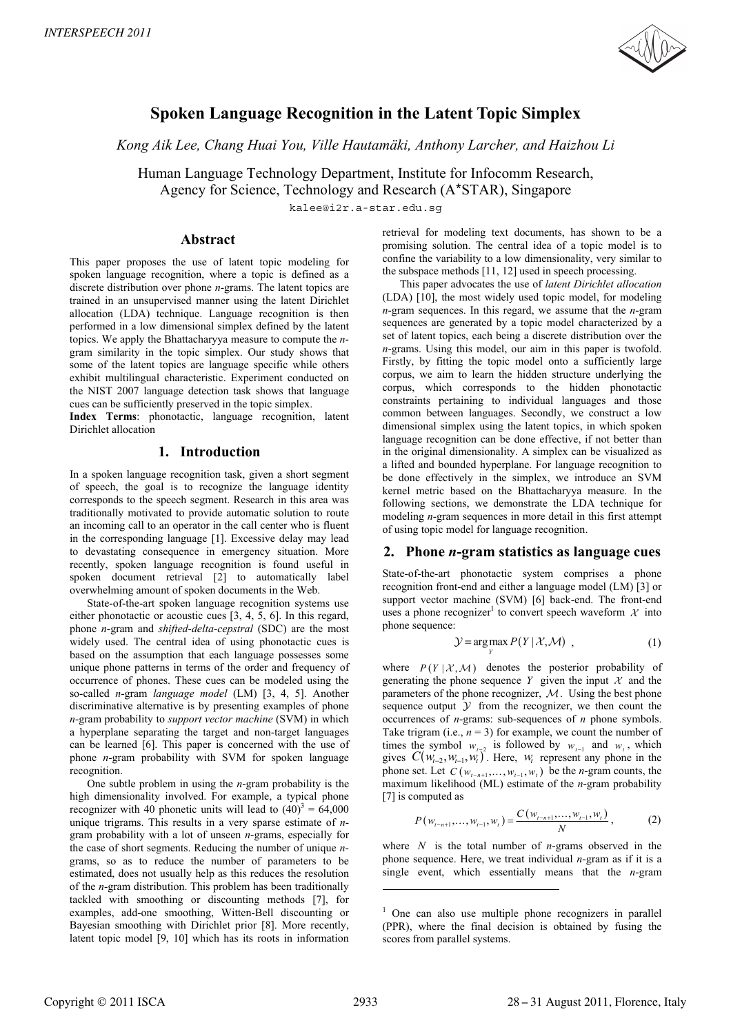

# **Spoken Language Recognition in the Latent Topic Simplex**

*Kong Aik Lee, Chang Huai You, Ville Hautamäki, Anthony Larcher, and Haizhou Li*

Human Language Technology Department, Institute for Infocomm Research,

Agency for Science, Technology and Research (A\*STAR), Singapore

kalee@i2r.a-star.edu.sg

## **Abstract**

This paper proposes the use of latent topic modeling for spoken language recognition, where a topic is defined as a discrete distribution over phone *n*-grams. The latent topics are trained in an unsupervised manner using the latent Dirichlet allocation (LDA) technique. Language recognition is then performed in a low dimensional simplex defined by the latent topics. We apply the Bhattacharyya measure to compute the *n*gram similarity in the topic simplex. Our study shows that some of the latent topics are language specific while others exhibit multilingual characteristic. Experiment conducted on the NIST 2007 language detection task shows that language cues can be sufficiently preserved in the topic simplex.

**Index Terms**: phonotactic, language recognition, latent Dirichlet allocation

# **1. Introduction**

In a spoken language recognition task, given a short segment of speech, the goal is to recognize the language identity corresponds to the speech segment. Research in this area was traditionally motivated to provide automatic solution to route an incoming call to an operator in the call center who is fluent in the corresponding language [1]. Excessive delay may lead to devastating consequence in emergency situation. More recently, spoken language recognition is found useful in spoken document retrieval [2] to automatically label overwhelming amount of spoken documents in the Web.

State-of-the-art spoken language recognition systems use either phonotactic or acoustic cues [3, 4, 5, 6]. In this regard, phone *n*-gram and *shifted-delta-cepstral* (SDC) are the most widely used. The central idea of using phonotactic cues is based on the assumption that each language possesses some unique phone patterns in terms of the order and frequency of occurrence of phones. These cues can be modeled using the so-called *n*-gram *language model* (LM) [3, 4, 5]. Another discriminative alternative is by presenting examples of phone *n*-gram probability to *support vector machine* (SVM) in which a hyperplane separating the target and non-target languages can be learned [6]. This paper is concerned with the use of phone *n*-gram probability with SVM for spoken language recognition.

One subtle problem in using the *n*-gram probability is the high dimensionality involved. For example, a typical phone recognizer with 40 phonetic units will lead to  $(40)^3 = 64,000$ unique trigrams. This results in a very sparse estimate of *n*gram probability with a lot of unseen *n*-grams, especially for the case of short segments. Reducing the number of unique *n*grams, so as to reduce the number of parameters to be estimated, does not usually help as this reduces the resolution of the *n*-gram distribution. This problem has been traditionally tackled with smoothing or discounting methods [7], for examples, add-one smoothing, Witten-Bell discounting or Bayesian smoothing with Dirichlet prior [8]. More recently, latent topic model [9, 10] which has its roots in information

retrieval for modeling text documents, has shown to be a promising solution. The central idea of a topic model is to confine the variability to a low dimensionality, very similar to the subspace methods [11, 12] used in speech processing.

This paper advocates the use of *latent Dirichlet allocation* (LDA) [10], the most widely used topic model, for modeling *n*-gram sequences. In this regard, we assume that the *n*-gram sequences are generated by a topic model characterized by a set of latent topics, each being a discrete distribution over the *n*-grams. Using this model, our aim in this paper is twofold. Firstly, by fitting the topic model onto a sufficiently large corpus, we aim to learn the hidden structure underlying the corpus, which corresponds to the hidden phonotactic constraints pertaining to individual languages and those common between languages. Secondly, we construct a low dimensional simplex using the latent topics, in which spoken language recognition can be done effective, if not better than in the original dimensionality. A simplex can be visualized as a lifted and bounded hyperplane. For language recognition to be done effectively in the simplex, we introduce an SVM kernel metric based on the Bhattacharyya measure. In the following sections, we demonstrate the LDA technique for modeling *n*-gram sequences in more detail in this first attempt of using topic model for language recognition.

# **2. Phone** *n***-gram statistics as language cues**

State-of-the-art phonotactic system comprises a phone recognition front-end and either a language model (LM) [3] or support vector machine (SVM) [6] back-end. The front-end uses a phone recognizer<sup>1</sup> to convert speech waveform  $\mathcal X$  into phone sequence:

$$
\mathcal{Y} = \underset{Y}{\arg \max} P(Y | \mathcal{X}, \mathcal{M}) \tag{1}
$$

where  $P(Y | X, M)$  denotes the posterior probability of generating the phone sequence *Y* given the input  $X$  and the parameters of the phone recognizer,  $M$ . Using the best phone sequence output  $Y$  from the recognizer, we then count the occurrences of *n*-grams: sub-sequences of *n* phone symbols. Take trigram (i.e.,  $n = 3$ ) for example, we count the number of times the symbol  $w_{t-2}$  is followed by  $w_{t-1}$  and  $w_t$ , which gives  $C(w_{t-2}, w_{t-1}, w_t^{\dagger})^2$ . Here,  $w_t$  represent any phone in the phone set. Let  $C(w_{t-n+1}, \ldots, w_{t-1}, w_t)$  be the *n*-gram counts, the maximum likelihood (ML) estimate of the *n*-gram probability [7] is computed as

$$
P(w_{t-n+1},...,w_{t-1},w_t) = \frac{C(w_{t-n+1},...,w_{t-1},w_t)}{N},
$$
 (2)

where *N* is the total number of *n*-grams observed in the phone sequence. Here, we treat individual *n*-gram as if it is a single event, which essentially means that the *n*-gram

 $\overline{a}$ 

<sup>&</sup>lt;sup>1</sup> One can also use multiple phone recognizers in parallel (PPR), where the final decision is obtained by fusing the scores from parallel systems.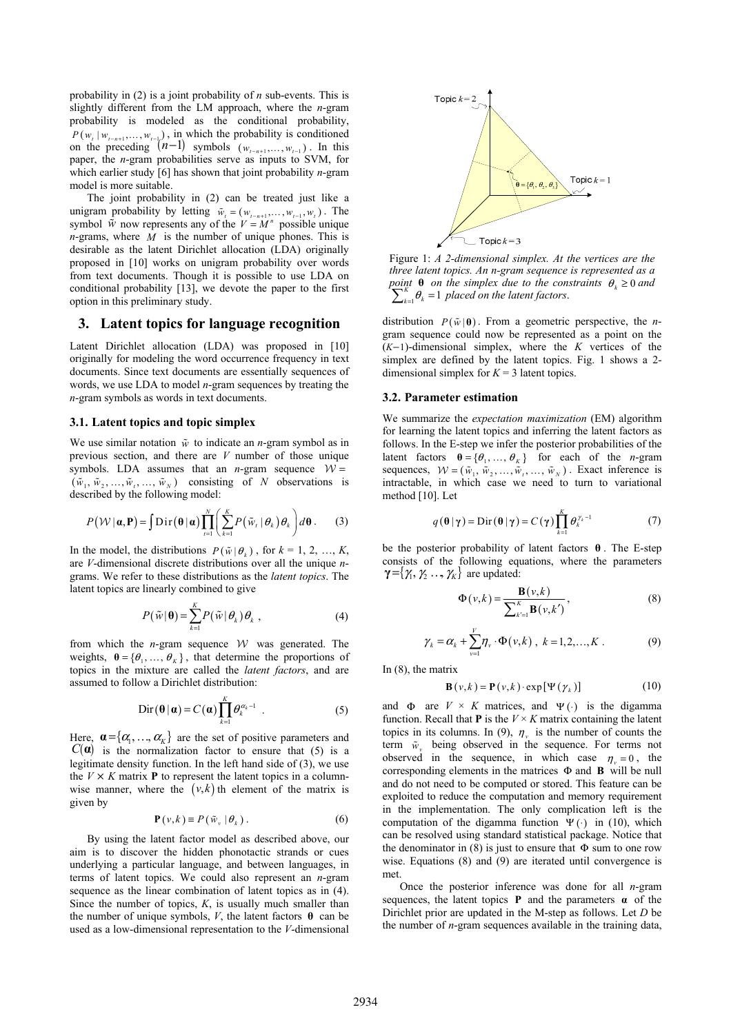probability in (2) is a joint probability of *n* sub-events. This is slightly different from the LM approach, where the *n*-gram probability is modeled as the conditional probability,  $P(w_t | w_{t-n+1}, \ldots, w_{t-1})$ , in which the probability is conditioned on the preceding  $(n-1)$  symbols  $(w_{i-n+1},...,w_{i-1})$ . In this paper, the *n*-gram probabilities serve as inputs to SVM, for which earlier study [6] has shown that joint probability *n*-gram model is more suitable.

The joint probability in (2) can be treated just like a unigram probability by letting  $\tilde{w}_i = (w_{i-n+1}, \dots, w_{i-1}, w_i)$ . The symbol  $\hat{w}$  now represents any of the  $V = M^n$  possible unique *n*-grams, where *M* is the number of unique phones. This is desirable as the latent Dirichlet allocation (LDA) originally proposed in [10] works on unigram probability over words from text documents. Though it is possible to use LDA on conditional probability [13], we devote the paper to the first option in this preliminary study.

### **3. Latent topics for language recognition**

Latent Dirichlet allocation (LDA) was proposed in [10] originally for modeling the word occurrence frequency in text documents. Since text documents are essentially sequences of words, we use LDA to model *n*-gram sequences by treating the *n*-gram symbols as words in text documents.

#### **3.1. Latent topics and topic simplex**

We use similar notation  $\tilde{w}$  to indicate an *n*-gram symbol as in previous section, and there are *V* number of those unique symbols. LDA assumes that an *n*-gram sequence  $W =$  $(\tilde{w}_1, \tilde{w}_2, ..., \tilde{w}_n, ..., \tilde{w}_N)$  consisting of *N* observations is described by the following model:

$$
P(\mathcal{W} | \mathbf{a}, \mathbf{P}) = \int \text{Dir}(\mathbf{\theta} | \mathbf{a}) \prod_{t=1}^{N} \left( \sum_{k=1}^{K} P(\tilde{w}_t | \theta_k) \theta_k \right) d\mathbf{\theta}. \qquad (3)
$$

In the model, the distributions  $P(\tilde{w} | \theta_i)$ , for  $k = 1, 2, ..., K$ , are *V*-dimensional discrete distributions over all the unique *n*grams. We refer to these distributions as the *latent topics*. The latent topics are linearly combined to give

$$
P(\tilde{w}|\mathbf{\theta}) = \sum_{k=1}^{K} P(\tilde{w}|\theta_k) \theta_k , \qquad (4)
$$

from which the *n*-gram sequence  $W$  was generated. The weights,  $\mathbf{\theta} = {\theta_1, ..., \theta_K}$ , that determine the proportions of topics in the mixture are called the *latent factors*, and are assumed to follow a Dirichlet distribution:

$$
\operatorname{Dir}(\boldsymbol{\theta}|\boldsymbol{\alpha}) = C(\boldsymbol{\alpha}) \prod_{k=1}^{K} \theta_k^{\alpha_k - 1} \quad . \tag{5}
$$

Here,  $\mathbf{a} = {\alpha_1, ..., \alpha_k}$  are the set of positive parameters and  $C(\mathbf{a})$  is the normalization factor to ensure that (5) is a legitimate density function. In the left hand side of (3), we use the  $V \times K$  matrix **P** to represent the latent topics in a columnwise manner, where the  $(v, k)$  th element of the matrix is given by

$$
\mathbf{P}(v,k) \equiv P(\tilde{w}_v | \theta_k). \tag{6}
$$

By using the latent factor model as described above, our aim is to discover the hidden phonotactic strands or cues underlying a particular language, and between languages, in terms of latent topics. We could also represent an *n*-gram sequence as the linear combination of latent topics as in (4). Since the number of topics, *K*, is usually much smaller than the number of unique symbols,  $V$ , the latent factors  $\theta$  can be used as a low-dimensional representation to the *V*-dimensional



Figure 1: *A 2-dimensional simplex. At the vertices are the three latent topics. An n-gram sequence is represented as a point* **θ** *on the simplex due to the constraints*  $\theta_k \ge 0$  *and*  $\sum_{k=1}^{K} \theta_k = 1$  *placed on the latent factors.* 

distribution  $P(\tilde{w}|\theta)$ . From a geometric perspective, the *n*gram sequence could now be represented as a point on the (*K*−1)-dimensional simplex, where the *K* vertices of the simplex are defined by the latent topics. Fig. 1 shows a 2 dimensional simplex for  $K = 3$  latent topics.

#### **3.2. Parameter estimation**

We summarize the *expectation maximization* (EM) algorithm for learning the latent topics and inferring the latent factors as follows. In the E-step we infer the posterior probabilities of the latent factors  $\boldsymbol{\theta} = {\theta_1, ..., \theta_K}$  for each of the *n*-gram sequences,  $W = (\tilde{w}_1, \tilde{w}_2, ..., \tilde{w}_t, ..., \tilde{w}_N)$ . Exact inference is intractable, in which case we need to turn to variational method [10]. Let

$$
q(\boldsymbol{\theta} | \boldsymbol{\gamma}) = \text{Dir}(\boldsymbol{\theta} | \boldsymbol{\gamma}) = C(\boldsymbol{\gamma}) \prod_{k=1}^{K} \theta_k^{\gamma_k - 1}
$$
 (7)

be the posterior probability of latent factors **θ** . The E-step consists of the following equations, where the parameters  ${\boldsymbol \gamma} = {\boldsymbol \gamma}_1, {\boldsymbol \gamma}_2 \ldots, {\boldsymbol \gamma}_K$  are updated:

$$
\Phi(\nu,k) = \frac{\mathbf{B}(\nu,k)}{\sum_{k'=1}^{K} \mathbf{B}(\nu,k')},\tag{8}
$$

$$
\gamma_k = \alpha_k + \sum_{\nu=1}^V \eta_\nu \cdot \Phi(\nu, k) , \ k = 1, 2, \dots, K . \tag{9}
$$

In (8), the matrix

$$
\mathbf{B}(v,k) = \mathbf{P}(v,k) \cdot \exp[\Psi(\gamma_k)] \tag{10}
$$

and  $\Phi$  are  $V \times K$  matrices, and  $\Psi(\cdot)$  is the digamma function. Recall that **P** is the  $V \times K$  matrix containing the latent topics in its columns. In (9),  $\eta_{v}$  is the number of counts the term  $\tilde{w}_v$  being observed in the sequence. For terms not observed in the sequence, in which case  $\eta_{\nu} = 0$ , the corresponding elements in the matrices Φ and **B** will be null and do not need to be computed or stored. This feature can be exploited to reduce the computation and memory requirement in the implementation. The only complication left is the computation of the digamma function  $\Psi(\cdot)$  in (10), which can be resolved using standard statistical package. Notice that the denominator in (8) is just to ensure that  $\Phi$  sum to one row wise. Equations (8) and (9) are iterated until convergence is met.

Once the posterior inference was done for all *n*-gram sequences, the latent topics **P** and the parameters  $\alpha$  of the Dirichlet prior are updated in the M-step as follows. Let *D* be the number of *n*-gram sequences available in the training data,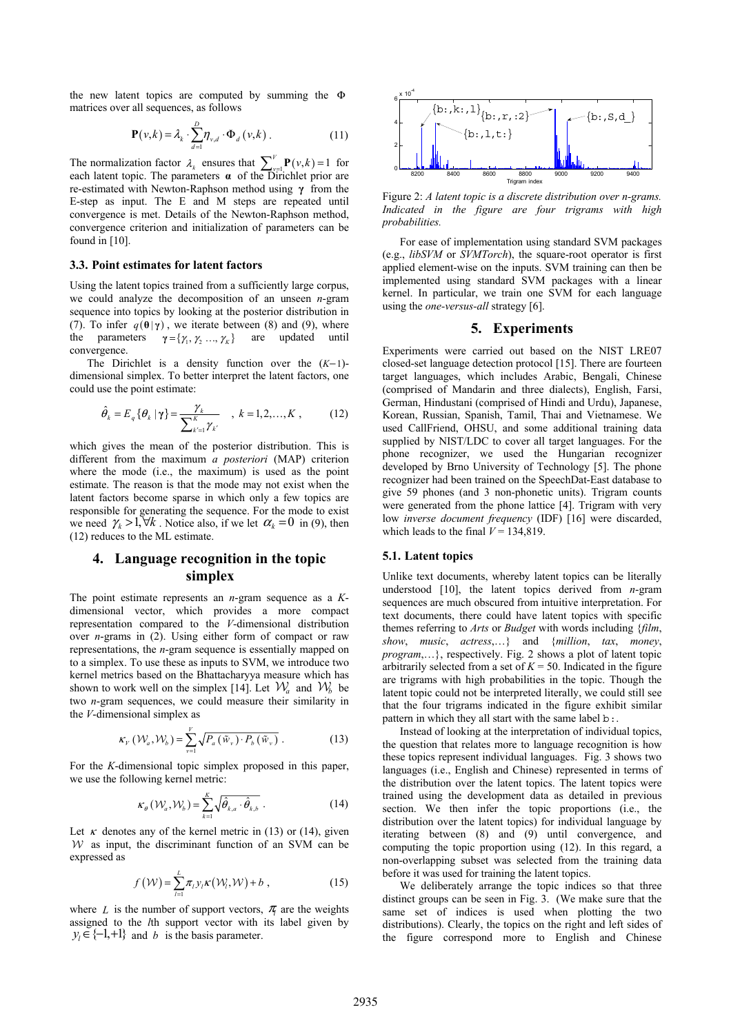the new latent topics are computed by summing the Φ matrices over all sequences, as follows

$$
\mathbf{P}(v,k) = \lambda_k \cdot \sum_{d=1}^{D} \eta_{v,d} \cdot \Phi_d(v,k) \tag{11}
$$

The normalization factor  $\lambda_k$  ensures that  $\sum_{\nu=1}^{V} P(\nu, k) = 1$  for each latent topic. The parameters  $\alpha$  of the Dirichlet prior are re-estimated with Newton-Raphson method using **γ** from the E-step as input. The E and M steps are repeated until convergence is met. Details of the Newton-Raphson method, convergence criterion and initialization of parameters can be found in [10].

#### **3.3. Point estimates for latent factors**

Using the latent topics trained from a sufficiently large corpus, we could analyze the decomposition of an unseen *n*-gram sequence into topics by looking at the posterior distribution in (7). To infer  $q(\theta | \gamma)$ , we iterate between (8) and (9), where the parameters  $\gamma = {\gamma_1, \gamma_2, ..., \gamma_k}$  are updated until convergence.

The Dirichlet is a density function over the (*K*−1) dimensional simplex. To better interpret the latent factors, one could use the point estimate:

$$
\hat{\theta}_k = E_q \{ \theta_k \, | \, \gamma \} = \frac{\gamma_k}{\sum_{k'=1}^K \gamma_{k'}} \quad , \ k = 1, 2, ..., K \;, \tag{12}
$$

which gives the mean of the posterior distribution. This is different from the maximum *a posteriori* (MAP) criterion where the mode (i.e., the maximum) is used as the point estimate. The reason is that the mode may not exist when the latent factors become sparse in which only a few topics are responsible for generating the sequence. For the mode to exist we need  $\gamma_k > 1$ ,  $\forall k$ . Notice also, if we let  $\alpha_k = 0$  in (9), then (12) reduces to the ML estimate.

# **4. Language recognition in the topic simplex**

The point estimate represents an *n*-gram sequence as a *K*dimensional vector, which provides a more compact representation compared to the *V*-dimensional distribution over *n*-grams in (2). Using either form of compact or raw representations, the *n*-gram sequence is essentially mapped on to a simplex. To use these as inputs to SVM, we introduce two kernel metrics based on the Bhattacharyya measure which has shown to work well on the simplex [14]. Let  $\mathcal{W}_a$  and  $\mathcal{W}_b$  be two *n*-gram sequences, we could measure their similarity in the *V*-dimensional simplex as

$$
\kappa_{V}(\mathcal{W}_{a}, \mathcal{W}_{b}) = \sum_{v=1}^{V} \sqrt{P_{a}(\tilde{w}_{v}) \cdot P_{b}(\tilde{w}_{v})} . \qquad (13)
$$

For the *K*-dimensional topic simplex proposed in this paper, we use the following kernel metric:

$$
\kappa_{\theta}(\mathcal{W}_a, \mathcal{W}_b) = \sum_{k=1}^K \sqrt{\hat{\theta}_{k,a} \cdot \hat{\theta}_{k,b}} \ . \tag{14}
$$

Let  $\kappa$  denotes any of the kernel metric in (13) or (14), given  $W$  as input, the discriminant function of an SVM can be expressed as

$$
f(\mathcal{W}) = \sum_{l=1}^{L} \pi_l y_l \kappa(\mathcal{W}_l, \mathcal{W}) + b \tag{15}
$$

where *L* is the number of support vectors,  $\pi$  are the weights assigned to the *l*th support vector with its label given by  $y_i \in \{-1, +1\}$  and *b* is the basis parameter.



Figure 2: *A latent topic is a discrete distribution over n-grams. Indicated in the figure are four trigrams with high probabilities.* 

For ease of implementation using standard SVM packages (e.g., *libSVM* or *SVMTorch*), the square-root operator is first applied element-wise on the inputs. SVM training can then be implemented using standard SVM packages with a linear kernel. In particular, we train one SVM for each language using the *one-versus-all* strategy [6].

### **5. Experiments**

Experiments were carried out based on the NIST LRE07 closed-set language detection protocol [15]. There are fourteen target languages, which includes Arabic, Bengali, Chinese (comprised of Mandarin and three dialects), English, Farsi, German, Hindustani (comprised of Hindi and Urdu), Japanese, Korean, Russian, Spanish, Tamil, Thai and Vietnamese. We used CallFriend, OHSU, and some additional training data supplied by NIST/LDC to cover all target languages. For the phone recognizer, we used the Hungarian recognizer developed by Brno University of Technology [5]. The phone recognizer had been trained on the SpeechDat-East database to give 59 phones (and 3 non-phonetic units). Trigram counts were generated from the phone lattice [4]. Trigram with very low *inverse document frequency* (IDF) [16] were discarded, which leads to the final  $V = 134,819$ .

#### **5.1. Latent topics**

Unlike text documents, whereby latent topics can be literally understood [10], the latent topics derived from *n*-gram sequences are much obscured from intuitive interpretation. For text documents, there could have latent topics with specific themes referring to *Arts* or *Budget* with words including {*film*, *show*, *music*, *actress*,…} and {*million*, *tax*, *money*, *program*,…}, respectively. Fig. 2 shows a plot of latent topic arbitrarily selected from a set of  $K = 50$ . Indicated in the figure are trigrams with high probabilities in the topic. Though the latent topic could not be interpreted literally, we could still see that the four trigrams indicated in the figure exhibit similar pattern in which they all start with the same label b:

Instead of looking at the interpretation of individual topics, the question that relates more to language recognition is how these topics represent individual languages. Fig. 3 shows two languages (i.e., English and Chinese) represented in terms of the distribution over the latent topics. The latent topics were trained using the development data as detailed in previous section. We then infer the topic proportions (i.e., the distribution over the latent topics) for individual language by iterating between (8) and (9) until convergence, and computing the topic proportion using (12). In this regard, a non-overlapping subset was selected from the training data before it was used for training the latent topics.

We deliberately arrange the topic indices so that three distinct groups can be seen in Fig. 3. (We make sure that the same set of indices is used when plotting the two distributions). Clearly, the topics on the right and left sides of the figure correspond more to English and Chinese